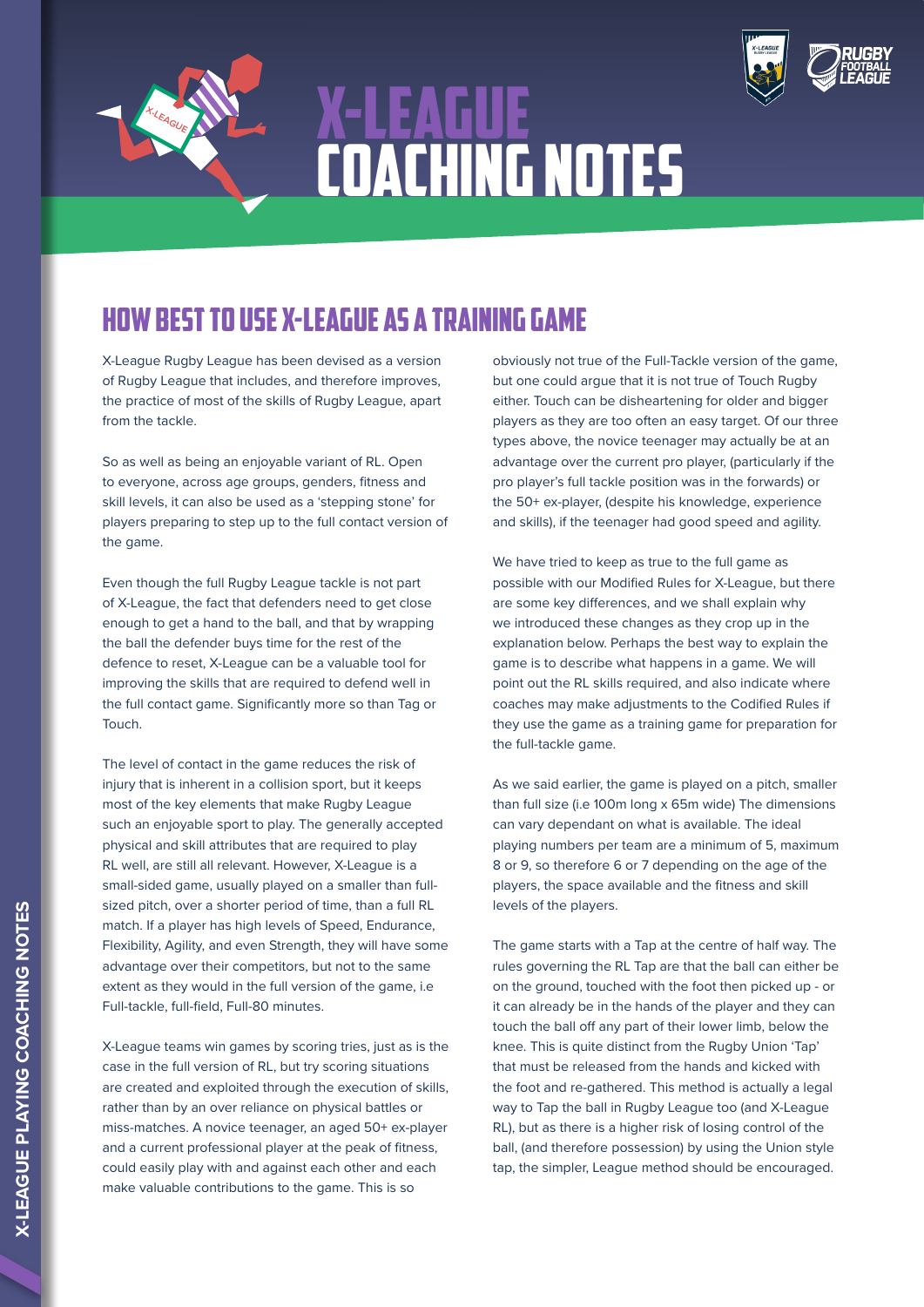

## X-LEAGUE COACHING NOTES



## how best to use X-League as a Training game

X-League Rugby League has been devised as a version of Rugby League that includes, and therefore improves, the practice of most of the skills of Rugby League, apart from the tackle.

So as well as being an enjoyable variant of RL. Open to everyone, across age groups, genders, fitness and skill levels, it can also be used as a 'stepping stone' for players preparing to step up to the full contact version of the game.

Even though the full Rugby League tackle is not part of X-League, the fact that defenders need to get close enough to get a hand to the ball, and that by wrapping the ball the defender buys time for the rest of the defence to reset, X-League can be a valuable tool for improving the skills that are required to defend well in the full contact game. Significantly more so than Tag or Touch.

The level of contact in the game reduces the risk of injury that is inherent in a collision sport, but it keeps most of the key elements that make Rugby League such an enjoyable sport to play. The generally accepted physical and skill attributes that are required to play RL well, are still all relevant. However, X-League is a small-sided game, usually played on a smaller than fullsized pitch, over a shorter period of time, than a full RL match. If a player has high levels of Speed, Endurance, Flexibility, Agility, and even Strength, they will have some advantage over their competitors, but not to the same extent as they would in the full version of the game, i.e Full-tackle, full-field, Full-80 minutes.

X-League teams win games by scoring tries, just as is the case in the full version of RL, but try scoring situations are created and exploited through the execution of skills, rather than by an over reliance on physical battles or miss-matches. A novice teenager, an aged 50+ ex-player and a current professional player at the peak of fitness, could easily play with and against each other and each make valuable contributions to the game. This is so

obviously not true of the Full-Tackle version of the game, but one could argue that it is not true of Touch Rugby either. Touch can be disheartening for older and bigger players as they are too often an easy target. Of our three types above, the novice teenager may actually be at an advantage over the current pro player, (particularly if the pro player's full tackle position was in the forwards) or the 50+ ex-player, (despite his knowledge, experience and skills), if the teenager had good speed and agility.

We have tried to keep as true to the full game as possible with our Modified Rules for X-League, but there are some key differences, and we shall explain why we introduced these changes as they crop up in the explanation below. Perhaps the best way to explain the game is to describe what happens in a game. We will point out the RL skills required, and also indicate where coaches may make adjustments to the Codified Rules if they use the game as a training game for preparation for the full-tackle game.

As we said earlier, the game is played on a pitch, smaller than full size (i.e 100m long x 65m wide) The dimensions can vary dependant on what is available. The ideal playing numbers per team are a minimum of 5, maximum 8 or 9, so therefore 6 or 7 depending on the age of the players, the space available and the fitness and skill levels of the players.

The game starts with a Tap at the centre of half way. The rules governing the RL Tap are that the ball can either be on the ground, touched with the foot then picked up - or it can already be in the hands of the player and they can touch the ball off any part of their lower limb, below the knee. This is quite distinct from the Rugby Union 'Tap' that must be released from the hands and kicked with the foot and re-gathered. This method is actually a legal way to Tap the ball in Rugby League too (and X-League RL), but as there is a higher risk of losing control of the ball, (and therefore possession) by using the Union style tap, the simpler, League method should be encouraged.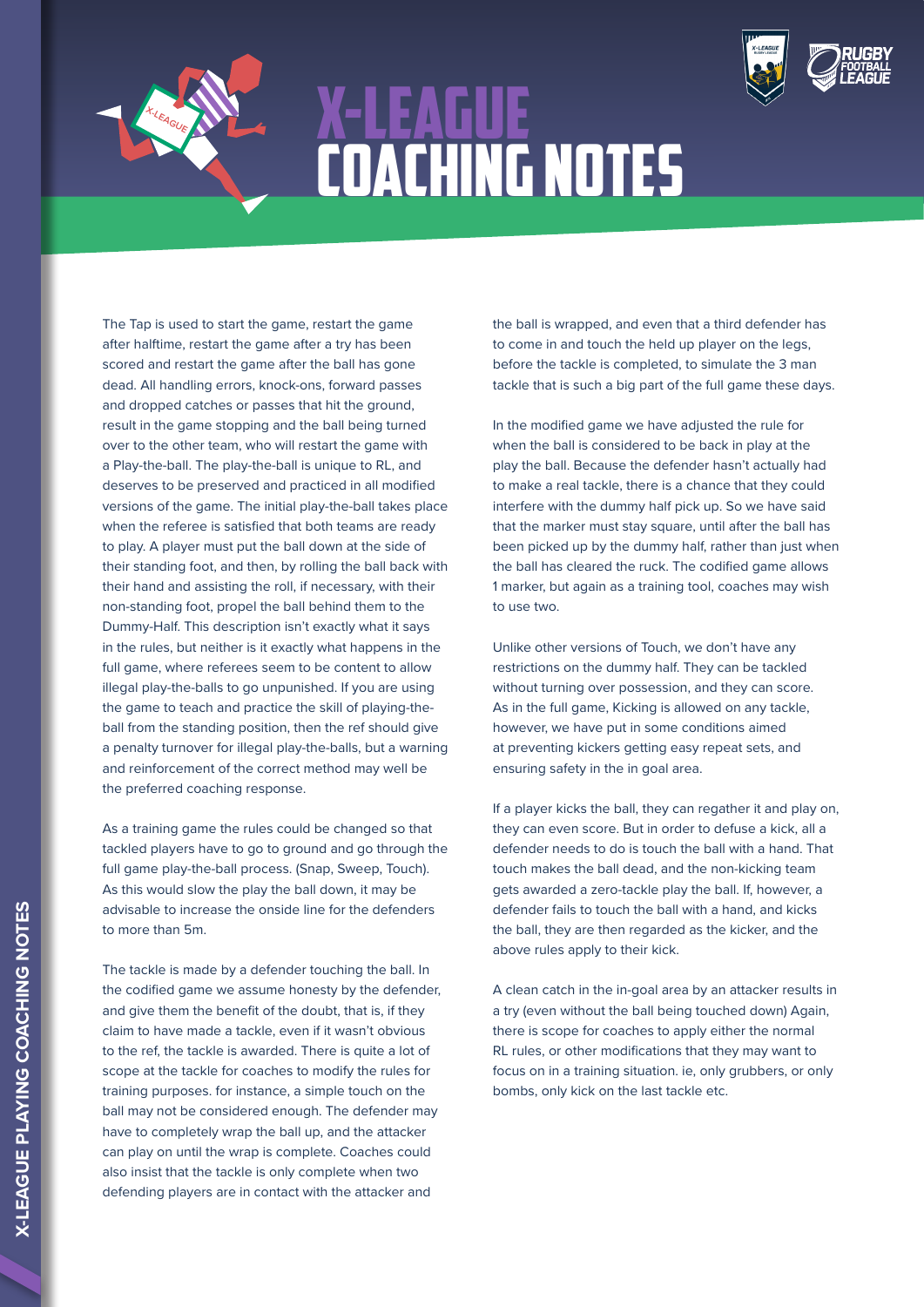

## X-LEAGUE COACHING NOTES



The Tap is used to start the game, restart the game after halftime, restart the game after a try has been scored and restart the game after the ball has gone dead. All handling errors, knock-ons, forward passes and dropped catches or passes that hit the ground, result in the game stopping and the ball being turned over to the other team, who will restart the game with a Play-the-ball. The play-the-ball is unique to RL, and deserves to be preserved and practiced in all modified versions of the game. The initial play-the-ball takes place when the referee is satisfied that both teams are ready to play. A player must put the ball down at the side of their standing foot, and then, by rolling the ball back with their hand and assisting the roll, if necessary, with their non-standing foot, propel the ball behind them to the Dummy-Half. This description isn't exactly what it says in the rules, but neither is it exactly what happens in the full game, where referees seem to be content to allow illegal play-the-balls to go unpunished. If you are using the game to teach and practice the skill of playing-theball from the standing position, then the ref should give a penalty turnover for illegal play-the-balls, but a warning and reinforcement of the correct method may well be the preferred coaching response.

As a training game the rules could be changed so that tackled players have to go to ground and go through the full game play-the-ball process. (Snap, Sweep, Touch). As this would slow the play the ball down, it may be advisable to increase the onside line for the defenders to more than 5m.

The tackle is made by a defender touching the ball. In the codified game we assume honesty by the defender, and give them the benefit of the doubt, that is, if they claim to have made a tackle, even if it wasn't obvious to the ref, the tackle is awarded. There is quite a lot of scope at the tackle for coaches to modify the rules for training purposes. for instance, a simple touch on the ball may not be considered enough. The defender may have to completely wrap the ball up, and the attacker can play on until the wrap is complete. Coaches could also insist that the tackle is only complete when two defending players are in contact with the attacker and

the ball is wrapped, and even that a third defender has to come in and touch the held up player on the legs, before the tackle is completed, to simulate the 3 man tackle that is such a big part of the full game these days.

In the modified game we have adjusted the rule for when the ball is considered to be back in play at the play the ball. Because the defender hasn't actually had to make a real tackle, there is a chance that they could interfere with the dummy half pick up. So we have said that the marker must stay square, until after the ball has been picked up by the dummy half, rather than just when the ball has cleared the ruck. The codified game allows 1 marker, but again as a training tool, coaches may wish to use two.

Unlike other versions of Touch, we don't have any restrictions on the dummy half. They can be tackled without turning over possession, and they can score. As in the full game, Kicking is allowed on any tackle, however, we have put in some conditions aimed at preventing kickers getting easy repeat sets, and ensuring safety in the in goal area.

If a player kicks the ball, they can regather it and play on, they can even score. But in order to defuse a kick, all a defender needs to do is touch the ball with a hand. That touch makes the ball dead, and the non-kicking team gets awarded a zero-tackle play the ball. If, however, a defender fails to touch the ball with a hand, and kicks the ball, they are then regarded as the kicker, and the above rules apply to their kick.

A clean catch in the in-goal area by an attacker results in a try (even without the ball being touched down) Again, there is scope for coaches to apply either the normal RL rules, or other modifications that they may want to focus on in a training situation. ie, only grubbers, or only bombs, only kick on the last tackle etc.